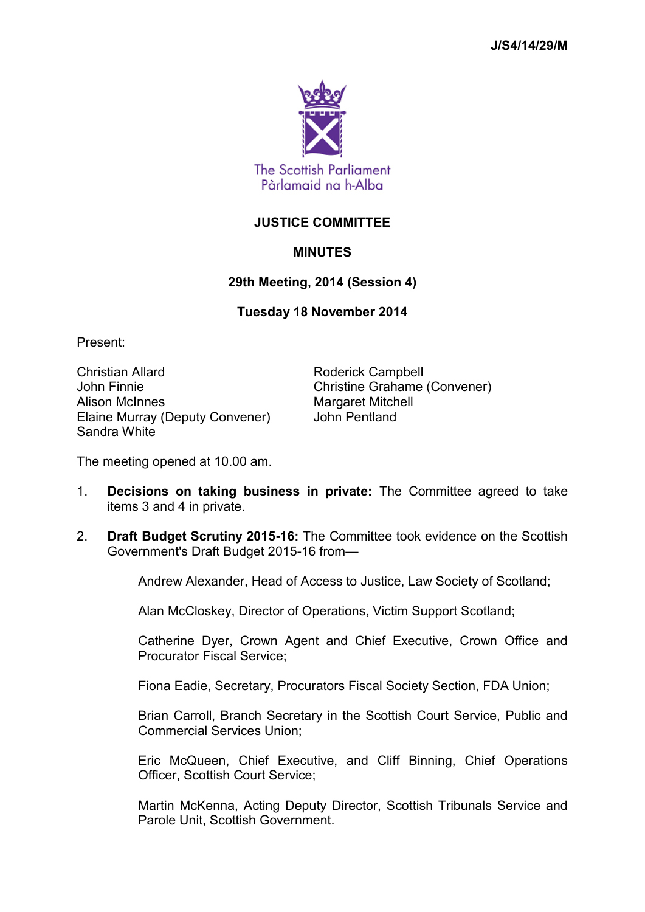

## **JUSTICE COMMITTEE**

## **MINUTES**

## **29th Meeting, 2014 (Session 4)**

## **Tuesday 18 November 2014**

Present:

Christian Allard **Roderick Campbell** John Finnie Christine Grahame (Convener) Alison McInnes Margaret Mitchell Elaine Murray (Deputy Convener) John Pentland Sandra White

The meeting opened at 10.00 am.

- 1. **Decisions on taking business in private:** The Committee agreed to take items 3 and 4 in private.
- 2. **Draft Budget Scrutiny 2015-16:** The Committee took evidence on the Scottish Government's Draft Budget 2015-16 from—

Andrew Alexander, Head of Access to Justice, Law Society of Scotland;

Alan McCloskey, Director of Operations, Victim Support Scotland;

Catherine Dyer, Crown Agent and Chief Executive, Crown Office and Procurator Fiscal Service;

Fiona Eadie, Secretary, Procurators Fiscal Society Section, FDA Union;

Brian Carroll, Branch Secretary in the Scottish Court Service, Public and Commercial Services Union;

Eric McQueen, Chief Executive, and Cliff Binning, Chief Operations Officer, Scottish Court Service;

Martin McKenna, Acting Deputy Director, Scottish Tribunals Service and Parole Unit, Scottish Government.